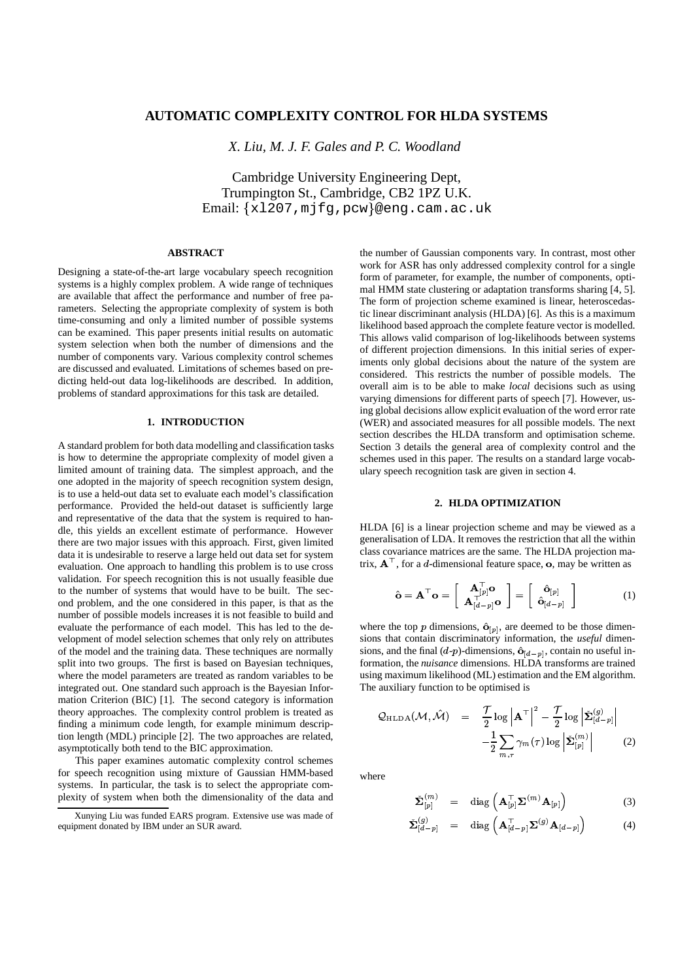# **AUTOMATIC COMPLEXITY CONTROL FOR HLDA SYSTEMS**

*X. Liu, M. J. F. Gales and P. C. Woodland*

Cambridge University Engineering Dept, Trumpington St., Cambridge, CB2 1PZ U.K. Email: xl207,mjfg,pcw @eng.cam.ac.uk

## **ABSTRACT**

Designing a state-of-the-art large vocabulary speech recognition systems is a highly complex problem. A wide range of techniques are available that affect the performance and number of free parameters. Selecting the appropriate complexity of system is both time-consuming and only a limited number of possible systems can be examined. This paper presents initial results on automatic system selection when both the number of dimensions and the number of components vary. Various complexity control schemes are discussed and evaluated. Limitations of schemes based on predicting held-out data log-likelihoods are described. In addition, problems of standard approximations for this task are detailed.

### **1. INTRODUCTION**

A standard problem for both data modelling and classification tasks is how to determine the appropriate complexity of model given a limited amount of training data. The simplest approach, and the one adopted in the majority of speech recognition system design, is to use a held-out data set to evaluate each model's classification performance. Provided the held-out dataset is sufficiently large and representative of the data that the system is required to handle, this yields an excellent estimate of performance. However there are two major issues with this approach. First, given limited data it is undesirable to reserve a large held out data set for system evaluation. One approach to handling this problem is to use cross validation. For speech recognition this is not usually feasible due to the number of systems that would have to be built. The second problem, and the one considered in this paper, is that as the number of possible models increases it is not feasible to build and evaluate the performance of each model. This has led to the development of model selection schemes that only rely on attributes of the model and the training data. These techniques are normally split into two groups. The first is based on Bayesian techniques, where the model parameters are treated as random variables to be integrated out. One standard such approach is the Bayesian Information Criterion (BIC) [1]. The second category is information theory approaches. The complexity control problem is treated as finding a minimum code length, for example minimum description length (MDL) principle [2]. The two approaches are related, asymptotically both tend to the BIC approximation.

This paper examines automatic complexity control schemes for speech recognition using mixture of Gaussian HMM-based systems. In particular, the task is to select the appropriate complexity of system when both the dimensionality of the data and

the number of Gaussian components vary. In contrast, most other work for ASR has only addressed complexity control for a single form of parameter, for example, the number of components, optimal HMM state clustering or adaptation transforms sharing [4, 5]. The form of projection scheme examined is linear, heteroscedastic linear discriminant analysis (HLDA) [6]. As this is a maximum likelihood based approach the complete feature vector is modelled. This allows valid comparison of log-likelihoods between systems of different projection dimensions. In this initial series of experiments only global decisions about the nature of the system are considered. This restricts the number of possible models. The overall aim is to be able to make *local* decisions such as using varying dimensions for different parts of speech [7]. However, using global decisions allow explicit evaluation of the word error rate (WER) and associated measures for all possible models. The next section describes the HLDA transform and optimisation scheme. Section 3 details the general area of complexity control and the schemes used in this paper. The results on a standard large vocabulary speech recognition task are given in section 4.

#### **2. HLDA OPTIMIZATION**

HLDA [6] is a linear projection scheme and may be viewed as a generalisation of LDA. It removes the restriction that all the within class covariance matrices are the same. The HLDA projection matrix,  $A^{\dagger}$ , for a *d*-dimensional feature space, **o**, may be written as

$$
\hat{\mathbf{o}} = \mathbf{A}^{\top} \mathbf{o} = \left[ \begin{array}{c} \mathbf{A}_{\lfloor p \rfloor}^{\top} \mathbf{o} \\ \mathbf{A}_{\lfloor d-p \rfloor}^{\top} \mathbf{o} \end{array} \right] = \left[ \begin{array}{c} \hat{\mathbf{o}}_{\lfloor p \rfloor} \\ \hat{\mathbf{o}}_{\lfloor d-p \rfloor} \end{array} \right] \tag{1}
$$

where the top p dimensions,  $\hat{\mathbf{o}}_{[p]}$ , are deemed to be those dimensions that contain discriminatory information, the *useful* dimensions, and the final  $(d-p)$ -dimensions,  $\hat{\mathbf{o}}_{[d-p]}$ , contain no useful information, the *nuisance* dimensions. HLDA transforms are trained using maximum likelihood (ML) estimation and the EM algorithm. The auxiliary function to be optimised is

$$
\mathcal{Q}_{\text{HLDA}}(\mathcal{M}, \hat{\mathcal{M}}) = \frac{\mathcal{T}}{2} \log \left| \mathbf{A}^{\top} \right|^2 - \frac{\mathcal{T}}{2} \log \left| \check{\mathbf{\Sigma}}_{[d-p]}^{(g)} \right|
$$

$$
- \frac{1}{2} \sum_{m,\tau} \gamma_m(\tau) \log \left| \check{\mathbf{\Sigma}}_{[p]}^{(m)} \right| \tag{2}
$$

where

$$
\breve{\mathbf{\Sigma}}_{[p]}^{(m)} = \text{diag}\left(\mathbf{A}_{[p]}^{\top} \mathbf{\Sigma}^{(m)} \mathbf{A}_{[p]}\right) \tag{3}
$$

$$
\check{\mathbf{\Sigma}}_{[d-p]}^{(g)} = \text{diag}\left(\mathbf{A}_{[d-p]}^{\top} \mathbf{\Sigma}^{(g)} \mathbf{A}_{[d-p]}\right) \tag{4}
$$

Xunying Liu was funded EARS program. Extensive use was made of equipment donated by IBM under an SUR award.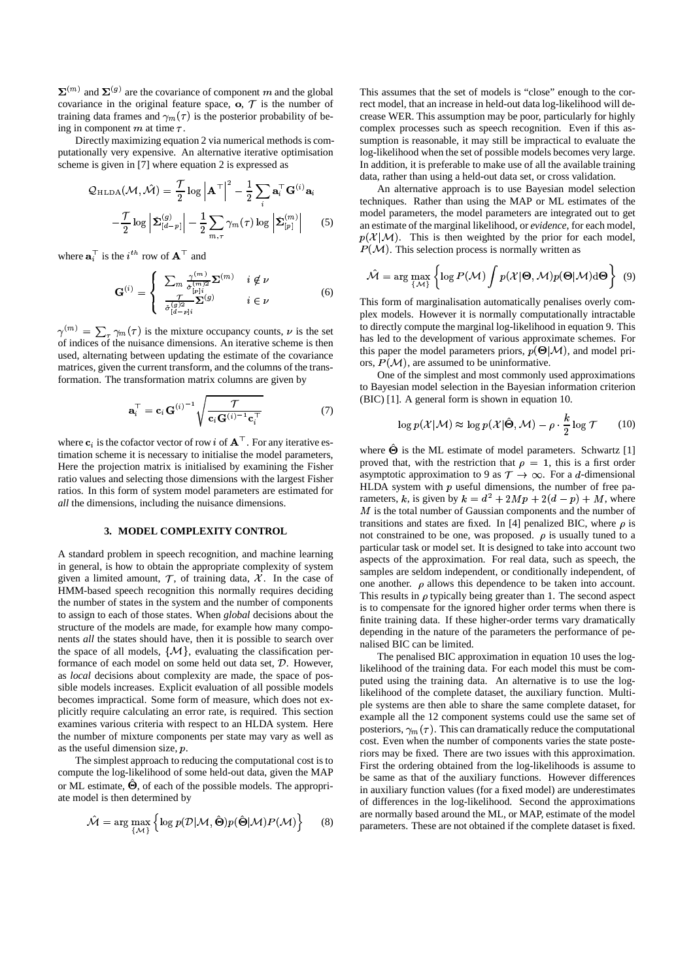$\Sigma^{(m)}$  and  $\Sigma^{(g)}$  are the covariance of component m and the global covariance in the original feature space,  $\sigma$ ,  $\tau$  is the number of training data frames and  $\gamma_m(\tau)$  is the posterior probability of being in component m at time  $\tau$ .

Directly maximizing equation 2 via numerical methods is computationally very expensive. An alternative iterative optimisation scheme is given in [7] where equation 2 is expressed as

$$
Q_{\text{HLDA}}(\mathcal{M}, \hat{\mathcal{M}}) = \frac{\mathcal{T}}{2} \log \left| \mathbf{A}^{\top} \right|^{2} - \frac{1}{2} \sum_{i} \mathbf{a}_{i}^{\top} \mathbf{G}^{(i)} \mathbf{a}_{i}
$$

$$
-\frac{\mathcal{T}}{2} \log \left| \check{\mathbf{\Sigma}}_{[d-p]}^{(g)} \right| - \frac{1}{2} \sum_{m,\tau} \gamma_{m}(\tau) \log \left| \check{\mathbf{\Sigma}}_{[p]}^{(m)} \right| \tag{5}
$$

where  $\mathbf{a}_i^{\dagger}$  is the  $i^{th}$  row of  $\mathbf{A}^{\dagger}$  and

$$
\mathbf{G}^{(i)} = \begin{cases} \sum_{m} \frac{\gamma^{(m)}}{\sigma_{[p]i}^{(m)2}} \mathbf{\Sigma}^{(m)} & i \notin \nu \\ \frac{\tau}{\sigma_{[q]2}^{(g)2}} \mathbf{\Sigma}^{(g)} & i \in \nu \end{cases} \tag{6}
$$

 $\gamma^{(m)} = \sum_{\tau} \gamma_m(\tau)$  is  $\gamma_m(\tau)$  is the mixture occupancy counts,  $\nu$  is the set of indices of the nuisance dimensions. An iterative scheme is then used, alternating between updating the estimate of the covariance matrices, given the current transform, and the columns of the transformation. The transformation matrix columns are given by

$$
\mathbf{a}_{i}^{\top} = \mathbf{c}_{i} \mathbf{G}^{(i)-1} \sqrt{\frac{\mathcal{T}}{\mathbf{c}_{i} \mathbf{G}^{(i)-1} \mathbf{c}_{i}^{\top}}}
$$
(7)

where  $c_i$  is the cofactor vector of row i of  $A^{\perp}$ . For any iterative estimation scheme it is necessary to initialise the model parameters, Here the projection matrix is initialised by examining the Fisher ratio values and selecting those dimensions with the largest Fisher ratios. In this form of system model parameters are estimated for *all* the dimensions, including the nuisance dimensions.

#### **3. MODEL COMPLEXITY CONTROL**

A standard problem in speech recognition, and machine learning in general, is how to obtain the appropriate complexity of system given a limited amount,  $\mathcal T$ , of training data,  $\mathcal X$ . In the case of HMM-based speech recognition this normally requires deciding the number of states in the system and the number of components to assign to each of those states. When *global* decisions about the structure of the models are made, for example how many components *all* the states should have, then it is possible to search over the space of all models,  $\{M\}$ , evaluating the classification performance of each model on some held out data set,  $D$ . However, as *local* decisions about complexity are made, the space of possible models increases. Explicit evaluation of all possible models becomes impractical. Some form of measure, which does not explicitly require calculating an error rate, is required. This section examines various criteria with respect to an HLDA system. Here the number of mixture components per state may vary as well as as the useful dimension size,  $p$ .

The simplest approach to reducing the computational cost is to compute the log-likelihood of some held-out data, given the MAP or ML estimate,  $\hat{\Theta}$ , of each of the possible models. The appropriate model is then determined by

$$
\hat{\mathcal{M}} = \arg \max_{\{\mathcal{M}\}} \left\{ \log p(\mathcal{D}|\mathcal{M}, \hat{\Theta}) p(\hat{\Theta}|\mathcal{M}) P(\mathcal{M}) \right\} \tag{8}
$$

This assumes that the set of models is "close" enough to the correct model, that an increase in held-out data log-likelihood will decrease WER. This assumption may be poor, particularly for highly complex processes such as speech recognition. Even if this assumption is reasonable, it may still be impractical to evaluate the log-likelihood when the set of possible models becomes very large. In addition, it is preferable to make use of all the available training data, rather than using a held-out data set, or cross validation.

 $\frac{2}{i}$   $\frac{2}{i}$   $\frac{2}{i}$  techniques. Rather than using the MAP or ML estimates of the An alternative approach is to use Bayesian model selection model parameters, the model parameters are integrated out to get an estimate of the marginal likelihood, or *evidence*, for each model,  $p(\mathcal{X}|\mathcal{M})$ . This is then weighted by the prior for each model,  $P(\mathcal{M})$ . This selection process is normally written as

$$
\hat{\mathcal{M}} = \arg \max_{\{\mathcal{M}\}} \left\{ \log P(\mathcal{M}) \int p(\mathcal{X}|\Theta, \mathcal{M}) p(\Theta | \mathcal{M}) \mathrm{d}\Theta \right\} \tag{9}
$$

This form of marginalisation automatically penalises overly complex models. However it is normally computationally intractable to directly compute the marginal log-likelihood in equation 9. This has led to the development of various approximate schemes. For this paper the model parameters priors,  $p(\mathbf{\Theta}|\mathcal{M})$ , and model priors,  $P(M)$ , are assumed to be uninformative.

One of the simplest and most commonly used approximations to Bayesian model selection in the Bayesian information criterion (BIC) [1]. A general form is shown in equation 10.

$$
\log p(\mathcal{X}|\mathcal{M}) \approx \log p(\mathcal{X}|\hat{\Theta}, \mathcal{M}) - \rho \cdot \frac{k}{2} \log \mathcal{T} \qquad (10)
$$

where  $\hat{\Theta}$  is the ML estimate of model parameters. Schwartz [1] proved that, with the restriction that  $\rho = 1$ , this is a first order asymptotic approximation to 9 as  $\mathcal{T} \to \infty$ . For a d-dimensional HLDA system with  $p$  useful dimensions, the number of free parameters, k, is given by  $k = d^2 + 2Mp + 2(d - p) + M$ , where transitions and states are fixed. In [4] penalized BIC, where  $\rho$  is heters, k, is given by  $k = d^2 + 2Mp + 2(d - p) + M$ , where<br>is the total number of Gaussian components and the number of not constrained to be one, was proposed.  $\rho$  is usually tuned to a particular task or model set. It is designed to take into account two aspects of the approximation. For real data, such as speech, the samples are seldom independent, or conditionally independent, of one another.  $\rho$  allows this dependence to be taken into account. This results in  $\rho$  typically being greater than 1. The second aspect is to compensate for the ignored higher order terms when there is finite training data. If these higher-order terms vary dramatically depending in the nature of the parameters the performance of penalised BIC can be limited.

The penalised BIC approximation in equation 10 uses the loglikelihood of the training data. For each model this must be computed using the training data. An alternative is to use the loglikelihood of the complete dataset, the auxiliary function. Multiple systems are then able to share the same complete dataset, for example all the 12 component systems could use the same set of posteriors,  $\gamma_m(\tau)$ . This can dramatically reduce the computational cost. Even when the number of components varies the state posteriors may be fixed. There are two issues with this approximation. First the ordering obtained from the log-likelihoods is assume to be same as that of the auxiliary functions. However differences in auxiliary function values (for a fixed model) are underestimates of differences in the log-likelihood. Second the approximations are normally based around the ML, or MAP, estimate of the model parameters. These are not obtained if the complete dataset is fixed.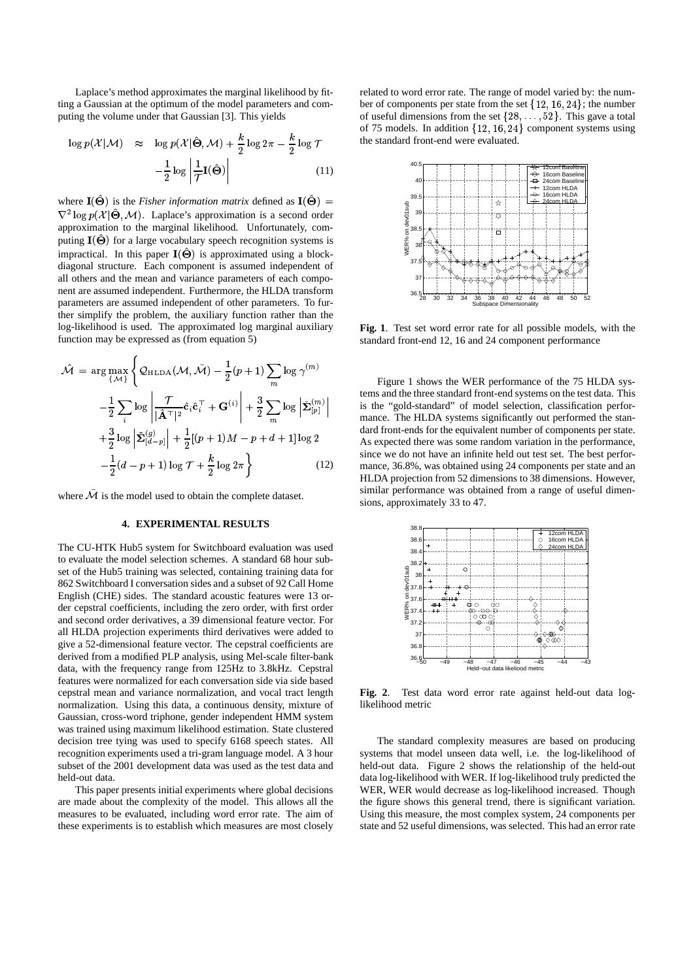Laplace's method approximates the marginal likelihood by fitting a Gaussian at the optimum of the model parameters and computing the volume under that Gaussian [3]. This yields

$$
\log p(\mathcal{X}|\mathcal{M}) \approx \log p(\mathcal{X}|\hat{\Theta}, \mathcal{M}) + \frac{k}{2} \log 2\pi - \frac{k}{2} \log \mathcal{T}
$$

$$
-\frac{1}{2} \log \left| \frac{1}{\mathcal{T}} \mathbf{I}(\hat{\Theta}) \right| \tag{11}
$$

where  $\mathbf{I}(\hat{\Theta})$  is the *Fisher information matrix* defined as  $\mathbf{I}(\hat{\Theta}) =$  $\nabla^2 \log p(\mathcal{X}|\hat{\Theta}, \mathcal{M})$ . Laplace's approximation is a second order puting  $I(\hat{\Theta})$  for a large vocabulary speech recognition systems is approximation to the marginal likelihood. Unfortunately, comimpractical. In this paper  $I(\hat{\Theta})$  is approximated using a blockdiagonal structure. Each component is assumed independent of all others and the mean and variance parameters of each component are assumed independent. Furthermore, the HLDA transform parameters are assumed independent of other parameters. To further simplify the problem, the auxiliary function rather than the log-likelihood is used. The approximated log marginal auxiliary function may be expressed as (from equation 5)

$$
\hat{\mathcal{M}} = \arg \max_{\{\mathcal{M}\}} \left\{ Q_{\text{HLDA}}(\mathcal{M}, \tilde{\mathcal{M}}) - \frac{1}{2} (p+1) \sum_{m} \log \gamma^{(m)} \right\}
$$
\n
$$
- \frac{1}{2} \sum_{i} \log \left| \frac{\mathcal{T}}{|\hat{\mathbf{A}}^{\top}|^2} \hat{\mathbf{c}}_i \hat{\mathbf{c}}_i^{\top} + \mathbf{G}^{(i)} \right| + \frac{3}{2} \sum_{m} \log \left| \tilde{\mathbf{\Sigma}}_{[p]}^{(m)} \right| \quad \text{is the matrix}
$$
\n
$$
+ \frac{3}{2} \log \left| \tilde{\mathbf{\Sigma}}_{[d-p]}^{(g)} \right| + \frac{1}{2} [(p+1)M - p + d + 1] \log 2 \quad \text{where}
$$
\n
$$
- \frac{1}{2} (d - p + 1) \log \mathcal{T} + \frac{k}{2} \log 2\pi \right\} \quad (12) \quad \text{and}
$$

where  $M$  is the model used to obtain the complete dataset.

#### **4. EXPERIMENTAL RESULTS**

The CU-HTK Hub5 system for Switchboard evaluation was used to evaluate the model selection schemes. A standard 68 hour subset of the Hub5 training was selected, containing training data for 862 Switchboard I conversation sides and a subset of 92 Call Home English (CHE) sides. The standard acoustic features were 13 order cepstral coefficients, including the zero order, with first order and second order derivatives, a 39 dimensional feature vector. For all HLDA projection experiments third derivatives were added to give a 52-dimensional feature vector. The cepstral coefficients are derived from a modified PLP analysis, using Mel-scale filter-bank data, with the frequency range from 125Hz to 3.8kHz. Cepstral features were normalized for each conversation side via side based cepstral mean and variance normalization, and vocal tract length normalization. Using this data, a continuous density, mixture of Gaussian, cross-word triphone, gender independent HMM system was trained using maximum likelihood estimation. State clustered decision tree tying was used to specify 6168 speech states. All recognition experiments used a tri-gram language model. A 3 hour subset of the 2001 development data was used as the test data and held-out data.

This paper presents initial experiments where global decisions are made about the complexity of the model. This allows all the measures to be evaluated, including word error rate. The aim of these experiments is to establish which measures are most closely

related to word error rate. The range of model varied by: the number of components per state from the set  $\{12, 16, 24\}$ ; the number ber of components per state from the set  $\{12, 16, 24\}$ ; the number<br>of useful dimensions from the set  $\{28, \ldots, 52\}$ . This gave a total of 75 models. In addition  $\{12, 16, 24\}$  component systems using the standard front-end were evaluated. the standard front-end were evaluated.



**Fig. 1**. Test set word error rate for all possible models, with the standard front-end 12, 16 and 24 component performance

tems and the three standard front-end systems on the test data. This<br>
is the "gold-standard" of model selection, classification perfor-<br>
mance. The HLDA systems significantly out performed the stan-Figure 1 shows the WER performance of the 75 HLDA systems and the three standard front-end systems on the test data. This mance. The HLDA systems significantly out performed the standard front-ends for the equivalent number of components per state. As expected there was some random variation in the performance, since we do not have an infinite held out test set. The best performance, 36.8%, was obtained using 24 components per state and an HLDA projection from 52 dimensions to 38 dimensions. However, similar performance was obtained from a range of useful dimensions, approximately 33 to 47.



**Fig. 2**. Test data word error rate against held-out data loglikelihood metric

The standard complexity measures are based on producing systems that model unseen data well, i.e. the log-likelihood of held-out data. Figure 2 shows the relationship of the held-out data log-likelihood with WER. If log-likelihood truly predicted the WER, WER would decrease as log-likelihood increased. Though the figure shows this general trend, there is significant variation. Using this measure, the most complex system, 24 components per state and 52 useful dimensions, was selected. This had an error rate